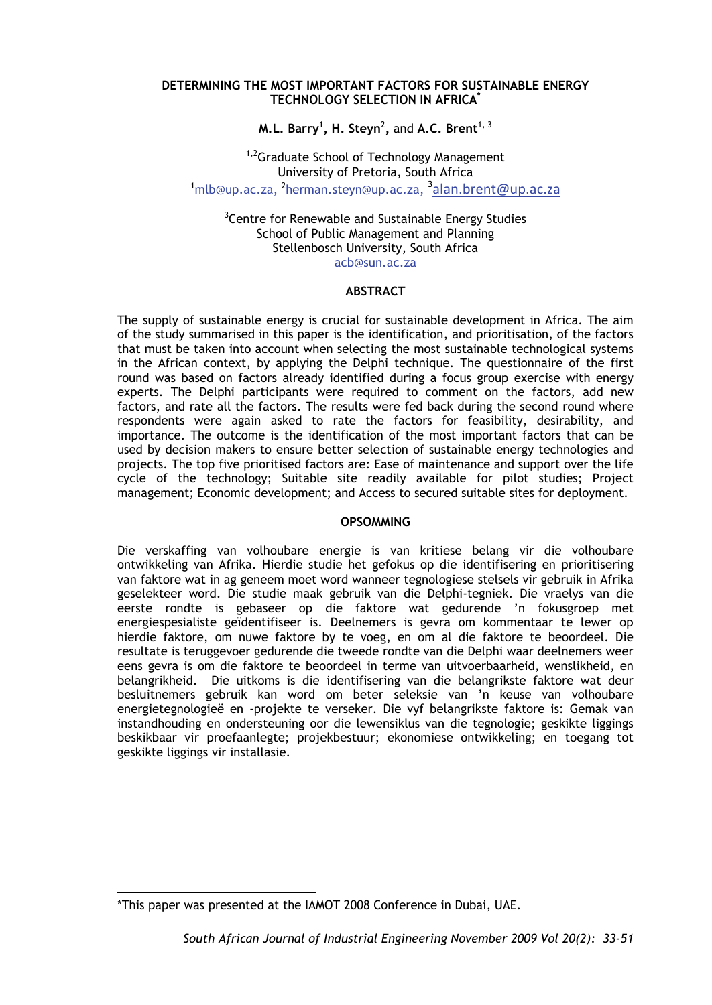#### **DETERMINING THE MOST IMPORTANT FACTORS FOR SUSTAINABLE ENERGY TECHNOLOGY SELECTION IN AFRICA\***

**M.L. Barry** $^1$ **, H. Steyn** $^2$ **, and A.C. Brent** $^{1,\,3}$ 

<sup>1,2</sup>Graduate School of Technology Management University of Pretoria, South Africa<br><sup>1</sup>mlb@up.ac.za, <sup>2</sup>herman.steyn@up.ac.za, <sup>3</sup>alan.brent@up.ac.za

<sup>3</sup> Centre for Renewable and Sustainable Energy Studies School of Public Management and Planning Stellenbosch University, South Africa acb@sun.ac.za

#### **ABSTRACT**

The supply of sustainable energy is crucial for sustainable development in Africa. The aim of the study summarised in this paper is the identification, and prioritisation, of the factors that must be taken into account when selecting the most sustainable technological systems in the African context, by applying the Delphi technique. The questionnaire of the first round was based on factors already identified during a focus group exercise with energy experts. The Delphi participants were required to comment on the factors, add new factors, and rate all the factors. The results were fed back during the second round where respondents were again asked to rate the factors for feasibility, desirability, and importance. The outcome is the identification of the most important factors that can be used by decision makers to ensure better selection of sustainable energy technologies and projects. The top five prioritised factors are: Ease of maintenance and support over the life cycle of the technology; Suitable site readily available for pilot studies; Project management; Economic development; and Access to secured suitable sites for deployment.

### **OPSOMMING**

Die verskaffing van volhoubare energie is van kritiese belang vir die volhoubare ontwikkeling van Afrika. Hierdie studie het gefokus op die identifisering en prioritisering van faktore wat in ag geneem moet word wanneer tegnologiese stelsels vir gebruik in Afrika geselekteer word. Die studie maak gebruik van die Delphi-tegniek. Die vraelys van die eerste rondte is gebaseer op die faktore wat gedurende 'n fokusgroep met energiespesialiste geïdentifiseer is. Deelnemers is gevra om kommentaar te lewer op hierdie faktore, om nuwe faktore by te voeg, en om al die faktore te beoordeel. Die resultate is teruggevoer gedurende die tweede rondte van die Delphi waar deelnemers weer eens gevra is om die faktore te beoordeel in terme van uitvoerbaarheid, wenslikheid, en belangrikheid. Die uitkoms is die identifisering van die belangrikste faktore wat deur besluitnemers gebruik kan word om beter seleksie van 'n keuse van volhoubare energietegnologieë en -projekte te verseker. Die vyf belangrikste faktore is: Gemak van instandhouding en ondersteuning oor die lewensiklus van die tegnologie; geskikte liggings beskikbaar vir proefaanlegte; projekbestuur; ekonomiese ontwikkeling; en toegang tot geskikte liggings vir installasie.

<sup>-</sup>\*This paper was presented at the IAMOT 2008 Conference in Dubai, UAE.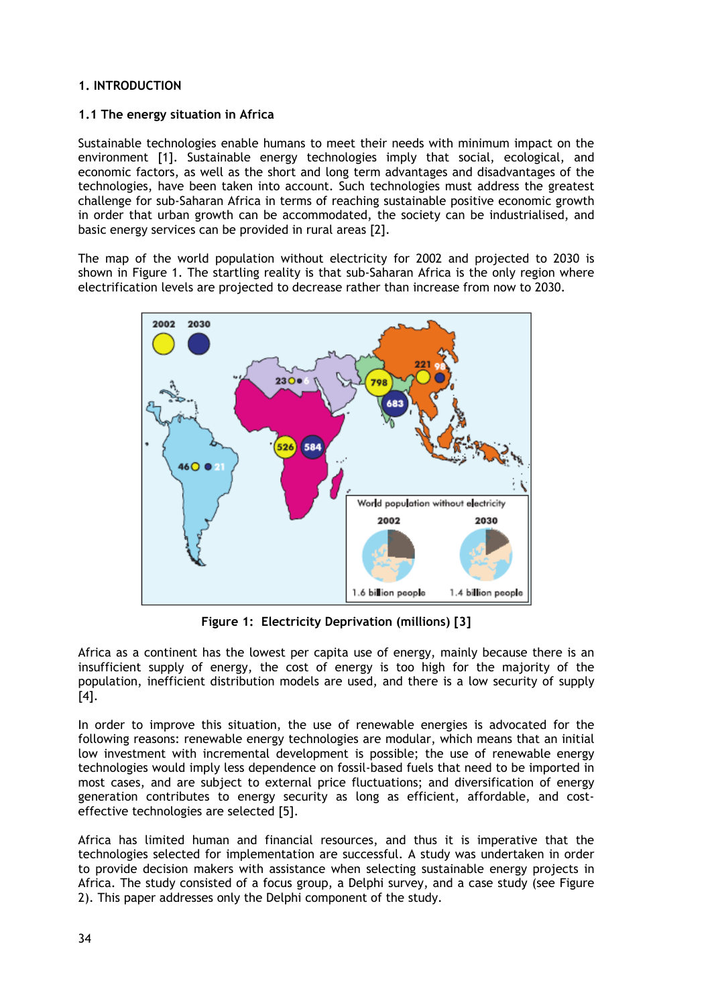# **1. INTRODUCTION**

### **1.1 The energy situation in Africa**

Sustainable technologies enable humans to meet their needs with minimum impact on the environment [1]. Sustainable energy technologies imply that social, ecological, and economic factors, as well as the short and long term advantages and disadvantages of the technologies, have been taken into account. Such technologies must address the greatest challenge for sub-Saharan Africa in terms of reaching sustainable positive economic growth in order that urban growth can be accommodated, the society can be industrialised, and basic energy services can be provided in rural areas [2].

The map of the world population without electricity for 2002 and projected to 2030 is shown in Figure 1. The startling reality is that sub-Saharan Africa is the only region where electrification levels are projected to decrease rather than increase from now to 2030.



**Figure 1: Electricity Deprivation (millions) [3]** 

Africa as a continent has the lowest per capita use of energy, mainly because there is an insufficient supply of energy, the cost of energy is too high for the majority of the population, inefficient distribution models are used, and there is a low security of supply [4].

In order to improve this situation, the use of renewable energies is advocated for the following reasons: renewable energy technologies are modular, which means that an initial low investment with incremental development is possible; the use of renewable energy technologies would imply less dependence on fossil-based fuels that need to be imported in most cases, and are subject to external price fluctuations; and diversification of energy generation contributes to energy security as long as efficient, affordable, and costeffective technologies are selected [5].

Africa has limited human and financial resources, and thus it is imperative that the technologies selected for implementation are successful. A study was undertaken in order to provide decision makers with assistance when selecting sustainable energy projects in Africa. The study consisted of a focus group, a Delphi survey, and a case study (see Figure 2). This paper addresses only the Delphi component of the study.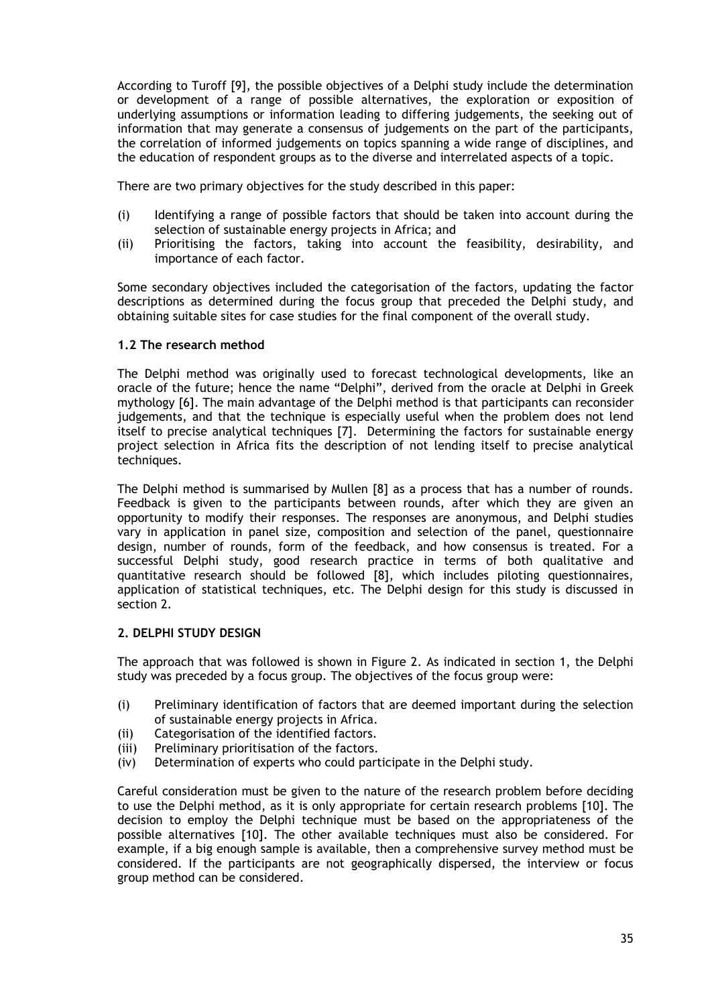According to Turoff [9], the possible objectives of a Delphi study include the determination or development of a range of possible alternatives, the exploration or exposition of underlying assumptions or information leading to differing judgements, the seeking out of information that may generate a consensus of judgements on the part of the participants, the correlation of informed judgements on topics spanning a wide range of disciplines, and the education of respondent groups as to the diverse and interrelated aspects of a topic.

There are two primary objectives for the study described in this paper:

- (i) Identifying a range of possible factors that should be taken into account during the selection of sustainable energy projects in Africa; and
- (ii) Prioritising the factors, taking into account the feasibility, desirability, and importance of each factor.

Some secondary objectives included the categorisation of the factors, updating the factor descriptions as determined during the focus group that preceded the Delphi study, and obtaining suitable sites for case studies for the final component of the overall study.

#### **1.2 The research method**

The Delphi method was originally used to forecast technological developments, like an oracle of the future; hence the name "Delphi", derived from the oracle at Delphi in Greek mythology [6]. The main advantage of the Delphi method is that participants can reconsider judgements, and that the technique is especially useful when the problem does not lend itself to precise analytical techniques [7]. Determining the factors for sustainable energy project selection in Africa fits the description of not lending itself to precise analytical techniques.

The Delphi method is summarised by Mullen [8] as a process that has a number of rounds. Feedback is given to the participants between rounds, after which they are given an opportunity to modify their responses. The responses are anonymous, and Delphi studies vary in application in panel size, composition and selection of the panel, questionnaire design, number of rounds, form of the feedback, and how consensus is treated. For a successful Delphi study, good research practice in terms of both qualitative and quantitative research should be followed [8], which includes piloting questionnaires, application of statistical techniques, etc. The Delphi design for this study is discussed in section 2.

### **2. DELPHI STUDY DESIGN**

The approach that was followed is shown in Figure 2. As indicated in section 1, the Delphi study was preceded by a focus group. The objectives of the focus group were:

- (i) Preliminary identification of factors that are deemed important during the selection of sustainable energy projects in Africa.
- (ii) Categorisation of the identified factors.
- (iii) Preliminary prioritisation of the factors.
- (iv) Determination of experts who could participate in the Delphi study.

Careful consideration must be given to the nature of the research problem before deciding to use the Delphi method, as it is only appropriate for certain research problems [10]. The decision to employ the Delphi technique must be based on the appropriateness of the possible alternatives [10]. The other available techniques must also be considered. For example, if a big enough sample is available, then a comprehensive survey method must be considered. If the participants are not geographically dispersed, the interview or focus group method can be considered.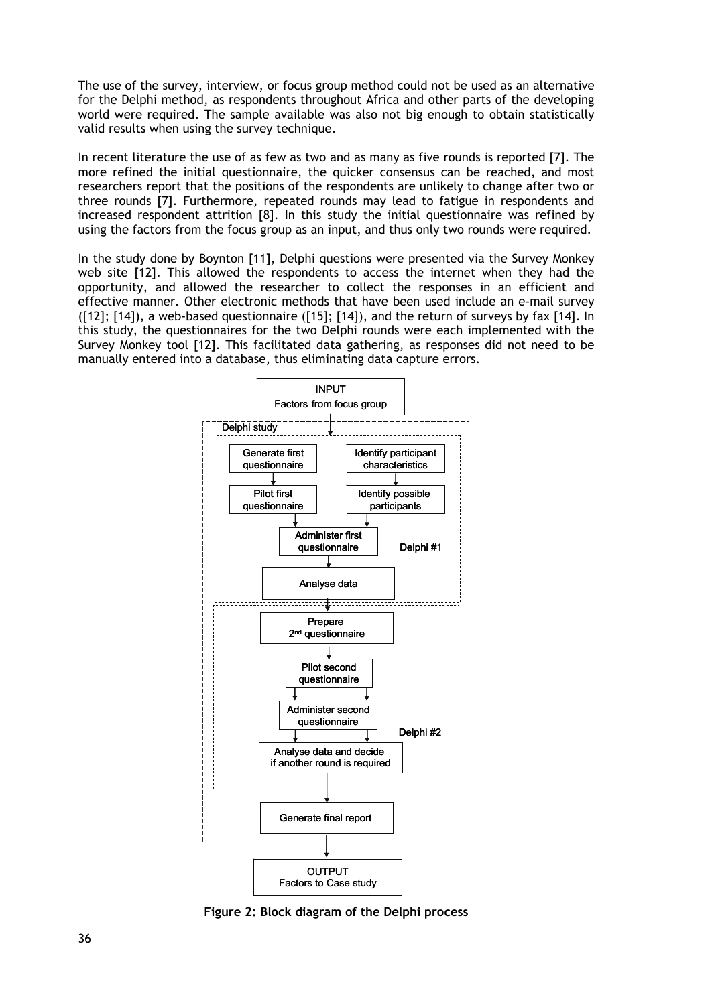The use of the survey, interview, or focus group method could not be used as an alternative for the Delphi method, as respondents throughout Africa and other parts of the developing world were required. The sample available was also not big enough to obtain statistically valid results when using the survey technique.

In recent literature the use of as few as two and as many as five rounds is reported [7]. The more refined the initial questionnaire, the quicker consensus can be reached, and most researchers report that the positions of the respondents are unlikely to change after two or three rounds [7]. Furthermore, repeated rounds may lead to fatigue in respondents and increased respondent attrition [8]. In this study the initial questionnaire was refined by using the factors from the focus group as an input, and thus only two rounds were required.

In the study done by Boynton [11], Delphi questions were presented via the Survey Monkey web site [12]. This allowed the respondents to access the internet when they had the opportunity, and allowed the researcher to collect the responses in an efficient and effective manner. Other electronic methods that have been used include an e-mail survey ([12]; [14]), a web-based questionnaire ([15]; [14]), and the return of surveys by fax [14]. In this study, the questionnaires for the two Delphi rounds were each implemented with the Survey Monkey tool [12]. This facilitated data gathering, as responses did not need to be manually entered into a database, thus eliminating data capture errors.



**Figure 2: Block diagram of the Delphi process**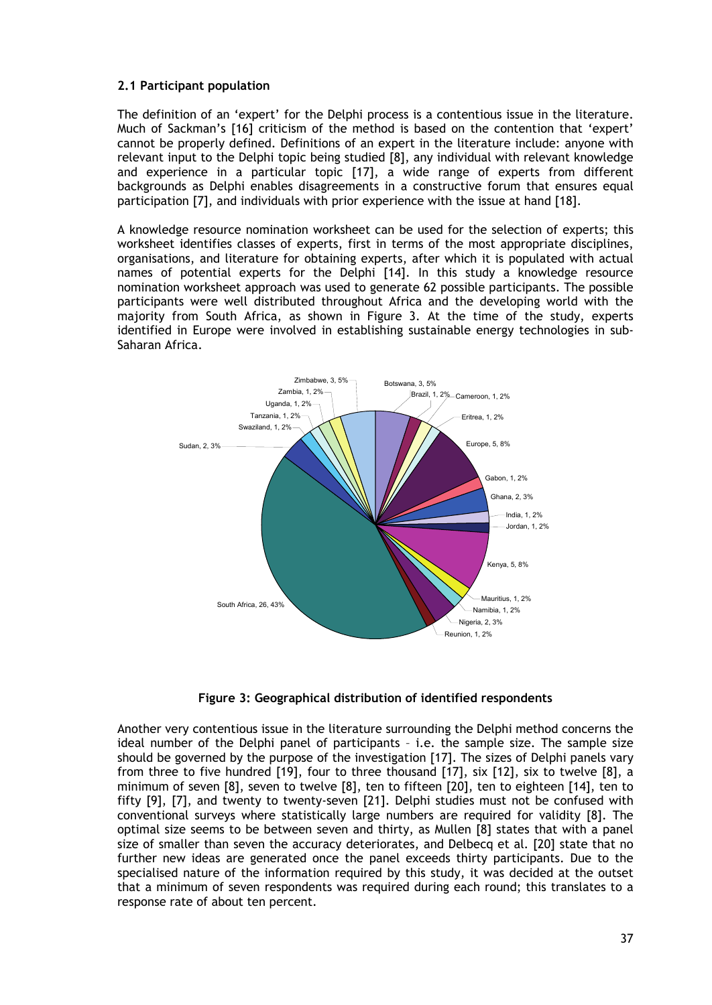### **2.1 Participant population**

The definition of an 'expert' for the Delphi process is a contentious issue in the literature. Much of Sackman's [16] criticism of the method is based on the contention that 'expert' cannot be properly defined. Definitions of an expert in the literature include: anyone with relevant input to the Delphi topic being studied [8], any individual with relevant knowledge and experience in a particular topic [17], a wide range of experts from different backgrounds as Delphi enables disagreements in a constructive forum that ensures equal participation [7], and individuals with prior experience with the issue at hand [18].

A knowledge resource nomination worksheet can be used for the selection of experts; this worksheet identifies classes of experts, first in terms of the most appropriate disciplines, organisations, and literature for obtaining experts, after which it is populated with actual names of potential experts for the Delphi [14]. In this study a knowledge resource nomination worksheet approach was used to generate 62 possible participants. The possible participants were well distributed throughout Africa and the developing world with the majority from South Africa, as shown in Figure 3. At the time of the study, experts identified in Europe were involved in establishing sustainable energy technologies in sub-Saharan Africa.



**Figure 3: Geographical distribution of identified respondents** 

Another very contentious issue in the literature surrounding the Delphi method concerns the ideal number of the Delphi panel of participants – i.e. the sample size. The sample size should be governed by the purpose of the investigation [17]. The sizes of Delphi panels vary from three to five hundred [19], four to three thousand [17], six [12], six to twelve [8], a minimum of seven [8], seven to twelve [8], ten to fifteen [20], ten to eighteen [14], ten to fifty [9], [7], and twenty to twenty-seven [21]. Delphi studies must not be confused with conventional surveys where statistically large numbers are required for validity [8]. The optimal size seems to be between seven and thirty, as Mullen [8] states that with a panel size of smaller than seven the accuracy deteriorates, and Delbecq et al. [20] state that no further new ideas are generated once the panel exceeds thirty participants. Due to the specialised nature of the information required by this study, it was decided at the outset that a minimum of seven respondents was required during each round; this translates to a response rate of about ten percent.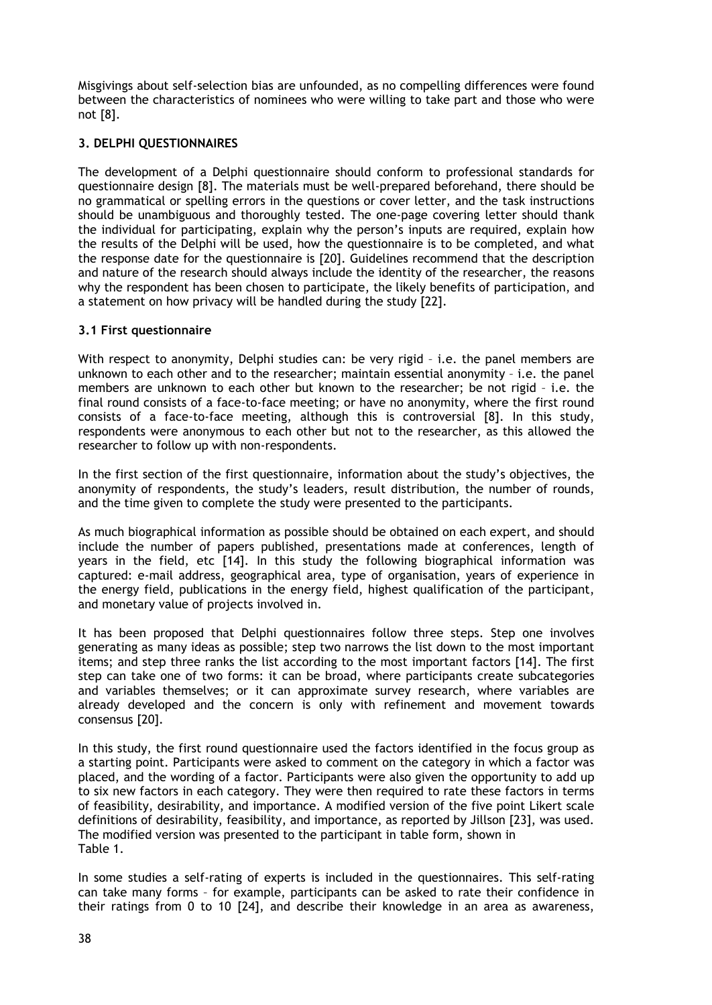Misgivings about self-selection bias are unfounded, as no compelling differences were found between the characteristics of nominees who were willing to take part and those who were not [8].

# **3. DELPHI QUESTIONNAIRES**

The development of a Delphi questionnaire should conform to professional standards for questionnaire design [8]. The materials must be well-prepared beforehand, there should be no grammatical or spelling errors in the questions or cover letter, and the task instructions should be unambiguous and thoroughly tested. The one-page covering letter should thank the individual for participating, explain why the person's inputs are required, explain how the results of the Delphi will be used, how the questionnaire is to be completed, and what the response date for the questionnaire is [20]. Guidelines recommend that the description and nature of the research should always include the identity of the researcher, the reasons why the respondent has been chosen to participate, the likely benefits of participation, and a statement on how privacy will be handled during the study [22].

### **3.1 First questionnaire**

With respect to anonymity, Delphi studies can: be very rigid - i.e. the panel members are unknown to each other and to the researcher; maintain essential anonymity – i.e. the panel members are unknown to each other but known to the researcher; be not rigid – i.e. the final round consists of a face-to-face meeting; or have no anonymity, where the first round consists of a face-to-face meeting, although this is controversial [8]. In this study, respondents were anonymous to each other but not to the researcher, as this allowed the researcher to follow up with non-respondents.

In the first section of the first questionnaire, information about the study's objectives, the anonymity of respondents, the study's leaders, result distribution, the number of rounds, and the time given to complete the study were presented to the participants.

As much biographical information as possible should be obtained on each expert, and should include the number of papers published, presentations made at conferences, length of years in the field, etc [14]. In this study the following biographical information was captured: e-mail address, geographical area, type of organisation, years of experience in the energy field, publications in the energy field, highest qualification of the participant, and monetary value of projects involved in.

It has been proposed that Delphi questionnaires follow three steps. Step one involves generating as many ideas as possible; step two narrows the list down to the most important items; and step three ranks the list according to the most important factors [14]. The first step can take one of two forms: it can be broad, where participants create subcategories and variables themselves; or it can approximate survey research, where variables are already developed and the concern is only with refinement and movement towards consensus [20].

In this study, the first round questionnaire used the factors identified in the focus group as a starting point. Participants were asked to comment on the category in which a factor was placed, and the wording of a factor. Participants were also given the opportunity to add up to six new factors in each category. They were then required to rate these factors in terms of feasibility, desirability, and importance. A modified version of the five point Likert scale definitions of desirability, feasibility, and importance, as reported by Jillson [23], was used. The modified version was presented to the participant in table form, shown in Table 1.

In some studies a self-rating of experts is included in the questionnaires. This self-rating can take many forms – for example, participants can be asked to rate their confidence in their ratings from 0 to 10 [24], and describe their knowledge in an area as awareness,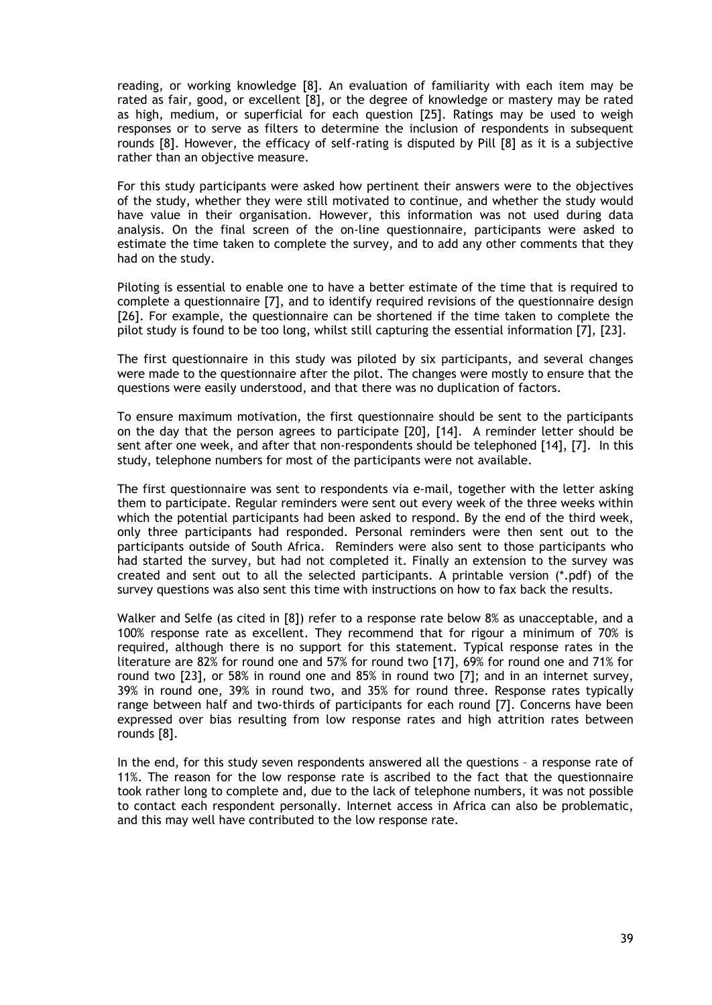reading, or working knowledge [8]. An evaluation of familiarity with each item may be rated as fair, good, or excellent [8], or the degree of knowledge or mastery may be rated as high, medium, or superficial for each question [25]. Ratings may be used to weigh responses or to serve as filters to determine the inclusion of respondents in subsequent rounds [8]. However, the efficacy of self-rating is disputed by Pill [8] as it is a subjective rather than an objective measure.

For this study participants were asked how pertinent their answers were to the objectives of the study, whether they were still motivated to continue, and whether the study would have value in their organisation. However, this information was not used during data analysis. On the final screen of the on-line questionnaire, participants were asked to estimate the time taken to complete the survey, and to add any other comments that they had on the study.

Piloting is essential to enable one to have a better estimate of the time that is required to complete a questionnaire [7], and to identify required revisions of the questionnaire design [26]. For example, the questionnaire can be shortened if the time taken to complete the pilot study is found to be too long, whilst still capturing the essential information [7], [23].

The first questionnaire in this study was piloted by six participants, and several changes were made to the questionnaire after the pilot. The changes were mostly to ensure that the questions were easily understood, and that there was no duplication of factors.

To ensure maximum motivation, the first questionnaire should be sent to the participants on the day that the person agrees to participate [20], [14]. A reminder letter should be sent after one week, and after that non-respondents should be telephoned [14], [7]. In this study, telephone numbers for most of the participants were not available.

The first questionnaire was sent to respondents via e-mail, together with the letter asking them to participate. Regular reminders were sent out every week of the three weeks within which the potential participants had been asked to respond. By the end of the third week, only three participants had responded. Personal reminders were then sent out to the participants outside of South Africa. Reminders were also sent to those participants who had started the survey, but had not completed it. Finally an extension to the survey was created and sent out to all the selected participants. A printable version (\*.pdf) of the survey questions was also sent this time with instructions on how to fax back the results.

Walker and Selfe (as cited in [8]) refer to a response rate below 8% as unacceptable, and a 100% response rate as excellent. They recommend that for rigour a minimum of 70% is required, although there is no support for this statement. Typical response rates in the literature are 82% for round one and 57% for round two [17], 69% for round one and 71% for round two [23], or 58% in round one and 85% in round two [7]; and in an internet survey, 39% in round one, 39% in round two, and 35% for round three. Response rates typically range between half and two-thirds of participants for each round [7]. Concerns have been expressed over bias resulting from low response rates and high attrition rates between rounds [8].

In the end, for this study seven respondents answered all the questions – a response rate of 11%. The reason for the low response rate is ascribed to the fact that the questionnaire took rather long to complete and, due to the lack of telephone numbers, it was not possible to contact each respondent personally. Internet access in Africa can also be problematic, and this may well have contributed to the low response rate.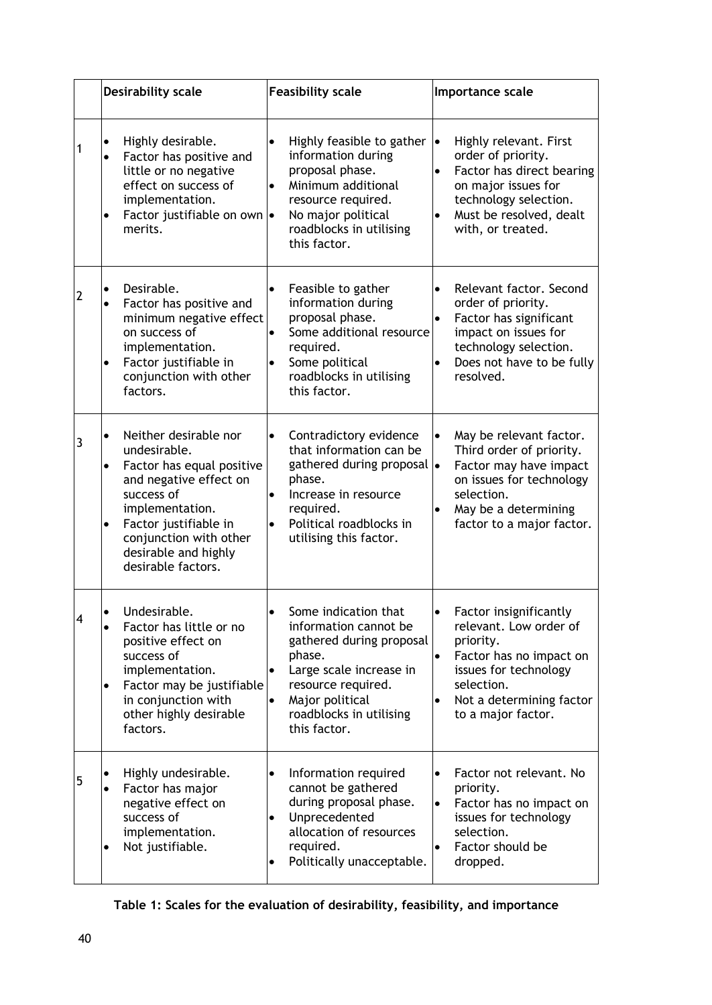|   | <b>Desirability scale</b>                                                                                                                                                                                                                                             | <b>Feasibility scale</b>                                                                                                                                                                                                     | Importance scale                                                                                                                                                                                                         |  |  |
|---|-----------------------------------------------------------------------------------------------------------------------------------------------------------------------------------------------------------------------------------------------------------------------|------------------------------------------------------------------------------------------------------------------------------------------------------------------------------------------------------------------------------|--------------------------------------------------------------------------------------------------------------------------------------------------------------------------------------------------------------------------|--|--|
| 1 | Highly desirable.<br>Factor has positive and<br>$\bullet$<br>little or no negative<br>effect on success of<br>implementation.<br>Factor justifiable on own  .<br>$\bullet$<br>merits.                                                                                 | $\bullet$<br>Highly feasible to gather $  \bullet  $<br>information during<br>proposal phase.<br>Minimum additional<br>$\bullet$<br>resource required.<br>No major political<br>roadblocks in utilising<br>this factor.      | Highly relevant. First<br>order of priority.<br>Factor has direct bearing<br>$\bullet$<br>on major issues for<br>technology selection.<br>Must be resolved, dealt<br>$\bullet$<br>with, or treated.                      |  |  |
| 2 | Desirable.<br>$\bullet$<br>Factor has positive and<br>$\bullet$<br>minimum negative effect<br>on success of<br>implementation.<br>Factor justifiable in<br>$\bullet$<br>conjunction with other<br>factors.                                                            | Feasible to gather<br>$\bullet$<br>information during<br>proposal phase.<br>Some additional resource<br>required.<br>Some political<br>$\bullet$<br>roadblocks in utilising<br>this factor.                                  | Relevant factor. Second<br>$\bullet$<br>order of priority.<br>Factor has significant<br>$\bullet$<br>impact on issues for<br>technology selection.<br>Does not have to be fully<br>$\bullet$<br>resolved.                |  |  |
| 3 | Neither desirable nor<br>$\bullet$<br>undesirable.<br>Factor has equal positive<br>$\bullet$<br>and negative effect on<br>success of<br>implementation.<br>Factor justifiable in<br>$\bullet$<br>conjunction with other<br>desirable and highly<br>desirable factors. | Contradictory evidence<br>$\bullet$<br>that information can be<br>gathered during proposal .<br>phase.<br>Increase in resource<br>$\bullet$<br>required.<br>Political roadblocks in<br>$\bullet$<br>utilising this factor.   | May be relevant factor.<br>$\bullet$<br>Third order of priority.<br>Factor may have impact<br>on issues for technology<br>selection.<br>May be a determining<br>$\bullet$<br>factor to a major factor.                   |  |  |
| 4 | Undesirable.<br>$\bullet$<br>Factor has little or no<br>$\bullet$<br>positive effect on<br>success of<br>implementation.<br>Factor may be justifiable<br>$\bullet$<br>in conjunction with<br>other highly desirable<br>factors.                                       | Some indication that<br>$\bullet$<br>information cannot be<br>gathered during proposal<br>phase.<br>Large scale increase in<br>resource required.<br>Major political<br>$\bullet$<br>roadblocks in utilising<br>this factor. | $\bullet$<br>Factor insignificantly<br>relevant. Low order of<br>priority.<br>Factor has no impact on<br>$\bullet$<br>issues for technology<br>selection.<br>Not a determining factor<br>$\bullet$<br>to a major factor. |  |  |
| 5 | Highly undesirable.<br>$\bullet$<br>Factor has major<br>$\bullet$<br>negative effect on<br>success of<br>implementation.<br>Not justifiable.<br>$\bullet$                                                                                                             | Information required<br>$\bullet$<br>cannot be gathered<br>during proposal phase.<br>Unprecedented<br>$\bullet$<br>allocation of resources<br>required.<br>Politically unacceptable.                                         | Factor not relevant. No<br>$\bullet$<br>priority.<br>Factor has no impact on<br>$\bullet$<br>issues for technology<br>selection.<br>Factor should be<br>$\bullet$<br>dropped.                                            |  |  |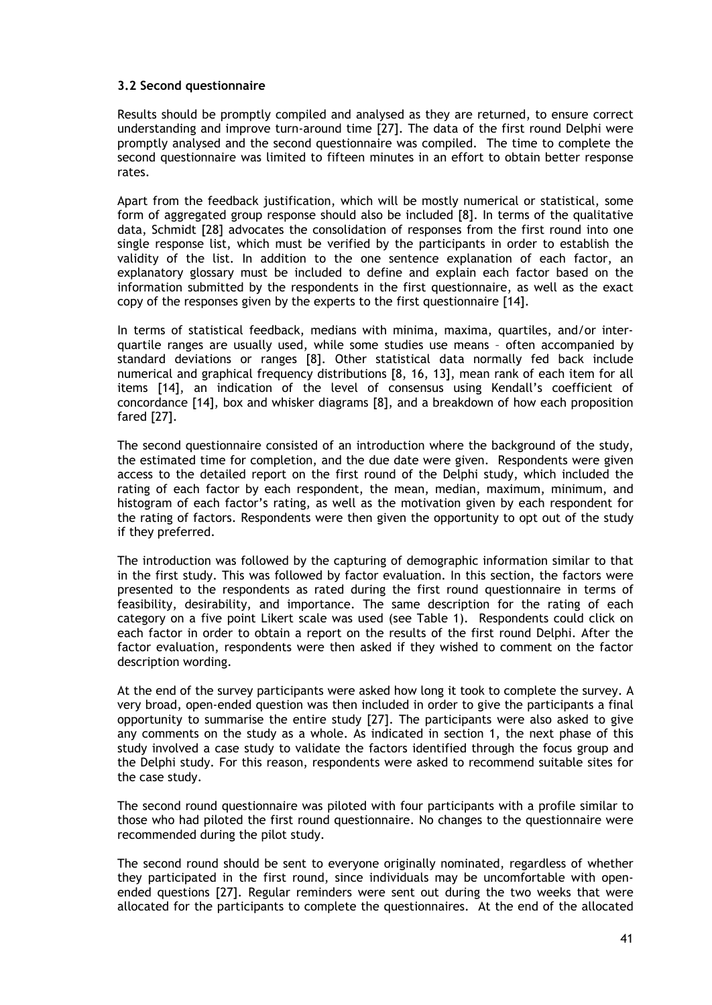### **3.2 Second questionnaire**

Results should be promptly compiled and analysed as they are returned, to ensure correct understanding and improve turn-around time [27]. The data of the first round Delphi were promptly analysed and the second questionnaire was compiled. The time to complete the second questionnaire was limited to fifteen minutes in an effort to obtain better response rates.

Apart from the feedback justification, which will be mostly numerical or statistical, some form of aggregated group response should also be included [8]. In terms of the qualitative data, Schmidt [28] advocates the consolidation of responses from the first round into one single response list, which must be verified by the participants in order to establish the validity of the list. In addition to the one sentence explanation of each factor, an explanatory glossary must be included to define and explain each factor based on the information submitted by the respondents in the first questionnaire, as well as the exact copy of the responses given by the experts to the first questionnaire [14].

In terms of statistical feedback, medians with minima, maxima, quartiles, and/or interquartile ranges are usually used, while some studies use means – often accompanied by standard deviations or ranges [8]. Other statistical data normally fed back include numerical and graphical frequency distributions [8, 16, 13], mean rank of each item for all items [14], an indication of the level of consensus using Kendall's coefficient of concordance [14], box and whisker diagrams [8], and a breakdown of how each proposition fared [27].

The second questionnaire consisted of an introduction where the background of the study, the estimated time for completion, and the due date were given. Respondents were given access to the detailed report on the first round of the Delphi study, which included the rating of each factor by each respondent, the mean, median, maximum, minimum, and histogram of each factor's rating, as well as the motivation given by each respondent for the rating of factors. Respondents were then given the opportunity to opt out of the study if they preferred.

The introduction was followed by the capturing of demographic information similar to that in the first study. This was followed by factor evaluation. In this section, the factors were presented to the respondents as rated during the first round questionnaire in terms of feasibility, desirability, and importance. The same description for the rating of each category on a five point Likert scale was used (see Table 1). Respondents could click on each factor in order to obtain a report on the results of the first round Delphi. After the factor evaluation, respondents were then asked if they wished to comment on the factor description wording.

At the end of the survey participants were asked how long it took to complete the survey. A very broad, open-ended question was then included in order to give the participants a final opportunity to summarise the entire study [27]. The participants were also asked to give any comments on the study as a whole. As indicated in section 1, the next phase of this study involved a case study to validate the factors identified through the focus group and the Delphi study. For this reason, respondents were asked to recommend suitable sites for the case study.

The second round questionnaire was piloted with four participants with a profile similar to those who had piloted the first round questionnaire. No changes to the questionnaire were recommended during the pilot study.

The second round should be sent to everyone originally nominated, regardless of whether they participated in the first round, since individuals may be uncomfortable with openended questions [27]. Regular reminders were sent out during the two weeks that were allocated for the participants to complete the questionnaires. At the end of the allocated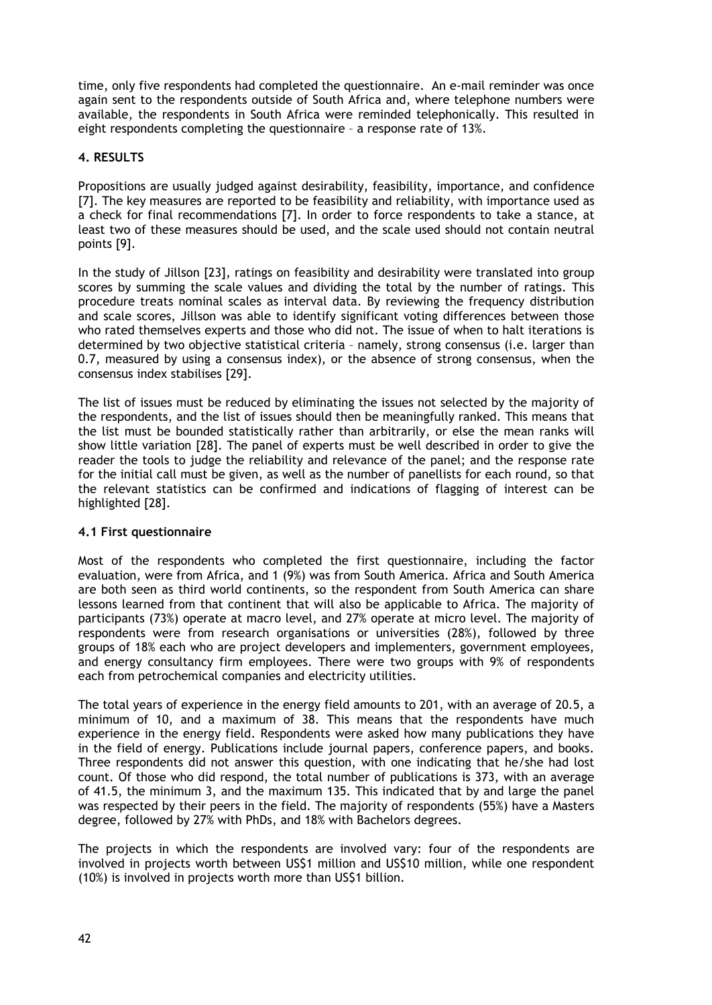time, only five respondents had completed the questionnaire. An e-mail reminder was once again sent to the respondents outside of South Africa and, where telephone numbers were available, the respondents in South Africa were reminded telephonically. This resulted in eight respondents completing the questionnaire – a response rate of 13%.

# **4. RESULTS**

Propositions are usually judged against desirability, feasibility, importance, and confidence [7]. The key measures are reported to be feasibility and reliability, with importance used as a check for final recommendations [7]. In order to force respondents to take a stance, at least two of these measures should be used, and the scale used should not contain neutral points [9].

In the study of Jillson [23], ratings on feasibility and desirability were translated into group scores by summing the scale values and dividing the total by the number of ratings. This procedure treats nominal scales as interval data. By reviewing the frequency distribution and scale scores, Jillson was able to identify significant voting differences between those who rated themselves experts and those who did not. The issue of when to halt iterations is determined by two objective statistical criteria – namely, strong consensus (i.e. larger than 0.7, measured by using a consensus index), or the absence of strong consensus, when the consensus index stabilises [29].

The list of issues must be reduced by eliminating the issues not selected by the majority of the respondents, and the list of issues should then be meaningfully ranked. This means that the list must be bounded statistically rather than arbitrarily, or else the mean ranks will show little variation [28]. The panel of experts must be well described in order to give the reader the tools to judge the reliability and relevance of the panel; and the response rate for the initial call must be given, as well as the number of panellists for each round, so that the relevant statistics can be confirmed and indications of flagging of interest can be highlighted [28].

### **4.1 First questionnaire**

Most of the respondents who completed the first questionnaire, including the factor evaluation, were from Africa, and 1 (9%) was from South America. Africa and South America are both seen as third world continents, so the respondent from South America can share lessons learned from that continent that will also be applicable to Africa. The majority of participants (73%) operate at macro level, and 27% operate at micro level. The majority of respondents were from research organisations or universities (28%), followed by three groups of 18% each who are project developers and implementers, government employees, and energy consultancy firm employees. There were two groups with 9% of respondents each from petrochemical companies and electricity utilities.

The total years of experience in the energy field amounts to 201, with an average of 20.5, a minimum of 10, and a maximum of 38. This means that the respondents have much experience in the energy field. Respondents were asked how many publications they have in the field of energy. Publications include journal papers, conference papers, and books. Three respondents did not answer this question, with one indicating that he/she had lost count. Of those who did respond, the total number of publications is 373, with an average of 41.5, the minimum 3, and the maximum 135. This indicated that by and large the panel was respected by their peers in the field. The majority of respondents (55%) have a Masters degree, followed by 27% with PhDs, and 18% with Bachelors degrees.

The projects in which the respondents are involved vary: four of the respondents are involved in projects worth between US\$1 million and US\$10 million, while one respondent (10%) is involved in projects worth more than US\$1 billion.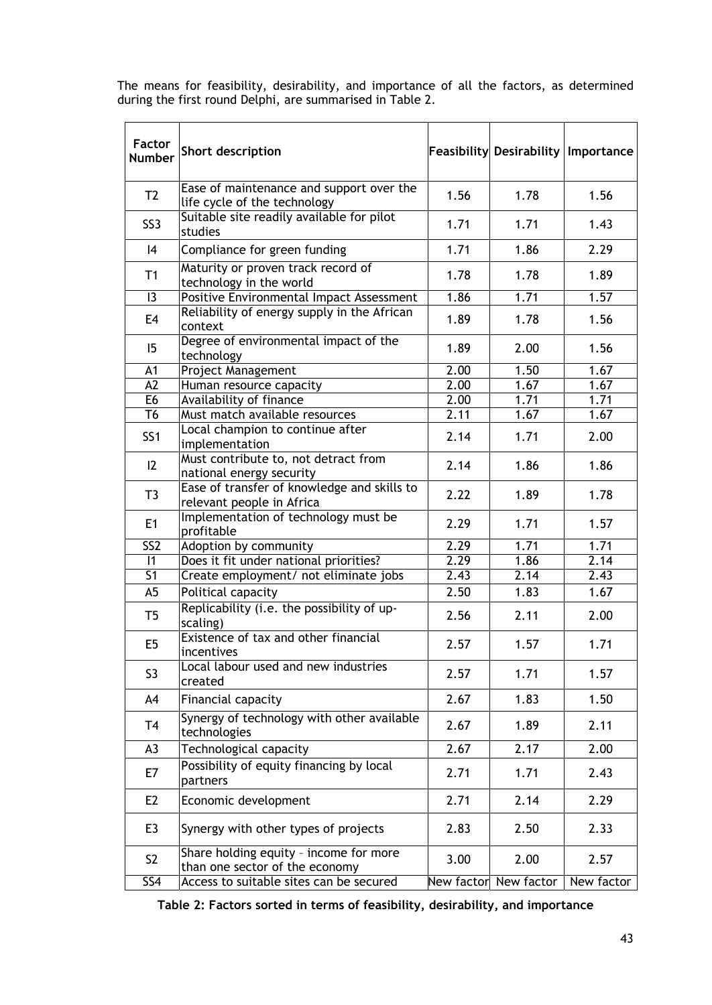The means for feasibility, desirability, and importance of all the factors, as determined during the first round Delphi, are summarised in Table 2.

| Factor<br><b>Number</b>                        | Short description                                                        |            | Feasibility Desirability Importance |            |
|------------------------------------------------|--------------------------------------------------------------------------|------------|-------------------------------------|------------|
| T <sub>2</sub>                                 | Ease of maintenance and support over the<br>life cycle of the technology | 1.56       | 1.78                                | 1.56       |
| SS <sub>3</sub>                                | Suitable site readily available for pilot<br>studies                     | 1.71       | 1.71                                | 1.43       |
| 4                                              | Compliance for green funding                                             | 1.71       | 1.86                                | 2.29       |
| T1                                             | Maturity or proven track record of<br>technology in the world            | 1.78       | 1.78                                | 1.89       |
| 13                                             | Positive Environmental Impact Assessment                                 | 1.86       | 1.71                                | 1.57       |
| E4                                             | Reliability of energy supply in the African<br>context                   | 1.89       | 1.78                                | 1.56       |
| 15                                             | Degree of environmental impact of the<br>technology                      | 1.89       | 2.00                                | 1.56       |
| A1                                             | <b>Project Management</b>                                                | 2.00       | 1.50                                | 1.67       |
| A2                                             | Human resource capacity                                                  | 2.00       | 1.67                                | 1.67       |
| E <sub>6</sub>                                 | Availability of finance                                                  | 2.00       | 1,71                                | 1,71       |
| T6                                             | Must match available resources                                           | 2.11       | 1.67                                | 1.67       |
| SS <sub>1</sub>                                | Local champion to continue after<br>implementation                       | 2.14       | 1.71                                | 2.00       |
| 12                                             | Must contribute to, not detract from<br>national energy security         |            | 1.86                                | 1.86       |
| T3                                             | Ease of transfer of knowledge and skills to<br>relevant people in Africa |            | 1.89                                | 1.78       |
| E1                                             | Implementation of technology must be<br>profitable                       | 2.29       | 1.71                                | 1.57       |
| SS <sub>2</sub>                                | Adoption by community                                                    | 2.29       | 1.71                                | 1.71       |
|                                                | $\overline{11}$<br>Does it fit under national priorities?                |            | 1.86                                | 2.14       |
| $\overline{S1}$                                | Create employment/ not eliminate jobs                                    | 2.43       | 2.14                                | 2.43       |
| A5                                             | Political capacity                                                       | 2.50       | 1.83                                | 1.67       |
| T <sub>5</sub>                                 | Replicability (i.e. the possibility of up-<br>scaling)                   | 2.56       | 2.11                                | 2.00       |
| E5                                             | Existence of tax and other financial<br>incentives                       | 2.57       | 1.57                                | 1.71       |
| S <sub>3</sub>                                 | Local labour used and new industries<br>created                          | 2.57       | 1.71                                | 1.57       |
| A4                                             | Financial capacity                                                       | 2.67       | 1.83                                | 1.50       |
| T <sub>4</sub>                                 | Synergy of technology with other available<br>technologies               | 2.67       | 1.89                                | 2.11       |
| A3                                             | Technological capacity                                                   | 2.67       | 2.17                                | 2.00       |
| E7                                             | Possibility of equity financing by local<br>partners                     | 2.71       | 1.71                                | 2.43       |
| E <sub>2</sub>                                 | Economic development                                                     | 2.71       | 2.14                                | 2.29       |
| E3                                             | Synergy with other types of projects                                     | 2.83       | 2.50                                | 2.33       |
| S <sub>2</sub>                                 | Share holding equity - income for more<br>than one sector of the economy | 3.00       | 2.00                                | 2.57       |
| Access to suitable sites can be secured<br>SS4 |                                                                          | New factor | New factor                          | New factor |

**Table 2: Factors sorted in terms of feasibility, desirability, and importance**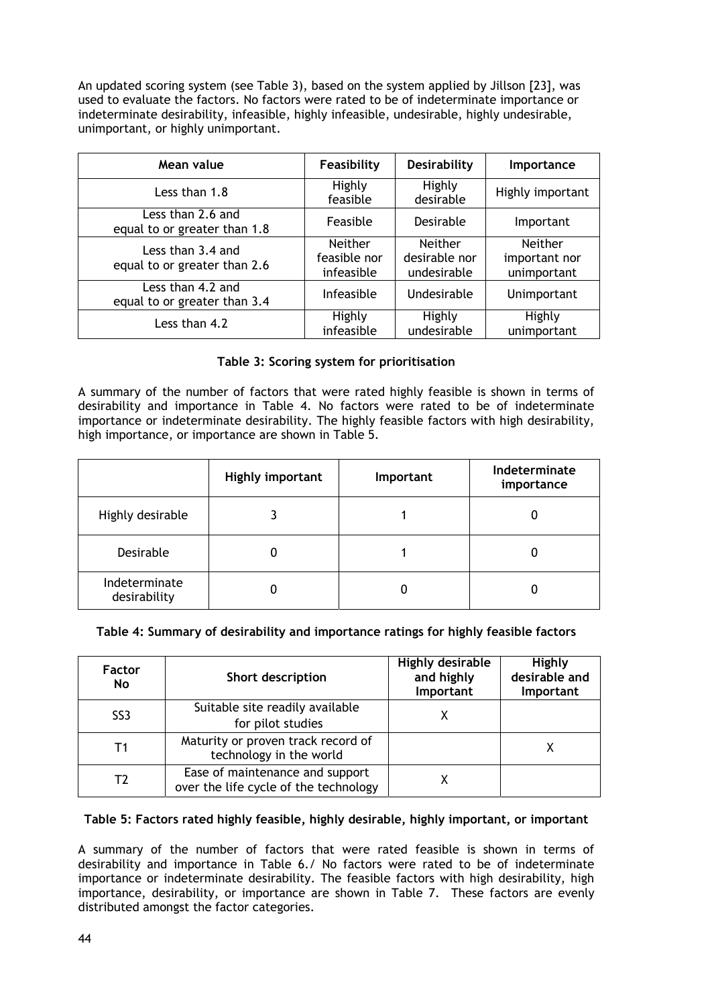An updated scoring system (see Table 3), based on the system applied by Jillson [23], was used to evaluate the factors. No factors were rated to be of indeterminate importance or indeterminate desirability, infeasible, highly infeasible, undesirable, highly undesirable, unimportant, or highly unimportant.

| Mean value                                        | Desirability<br>Feasibility                  |                                         | Importance                                     |  |
|---------------------------------------------------|----------------------------------------------|-----------------------------------------|------------------------------------------------|--|
| Less than 1.8                                     | Highly<br>feasible                           | Highly<br>desirable                     | Highly important                               |  |
| Less than 2.6 and<br>equal to or greater than 1.8 | Feasible                                     | Desirable                               | Important                                      |  |
| Less than 3.4 and<br>equal to or greater than 2.6 | <b>Neither</b><br>feasible nor<br>infeasible | Neither<br>desirable nor<br>undesirable | <b>Neither</b><br>important nor<br>unimportant |  |
| Less than 4.2 and<br>equal to or greater than 3.4 | Infeasible                                   | Undesirable                             | Unimportant                                    |  |
| Less than 4.2                                     | Highly<br>infeasible                         | Highly<br>undesirable                   | Highly<br>unimportant                          |  |

## **Table 3: Scoring system for prioritisation**

A summary of the number of factors that were rated highly feasible is shown in terms of desirability and importance in Table 4. No factors were rated to be of indeterminate importance or indeterminate desirability. The highly feasible factors with high desirability, high importance, or importance are shown in Table 5.

|                               | Highly important | Important | Indeterminate<br>importance |
|-------------------------------|------------------|-----------|-----------------------------|
| Highly desirable              |                  |           |                             |
| Desirable                     |                  |           |                             |
| Indeterminate<br>desirability |                  |           |                             |

# **Table 4: Summary of desirability and importance ratings for highly feasible factors**

| <b>Factor</b><br>No | Short description                                                        | <b>Highly desirable</b><br>and highly<br>Important | Highly<br>desirable and<br>Important |
|---------------------|--------------------------------------------------------------------------|----------------------------------------------------|--------------------------------------|
| SS <sub>3</sub>     | Suitable site readily available<br>for pilot studies                     | х                                                  |                                      |
| T1                  | Maturity or proven track record of<br>technology in the world            |                                                    |                                      |
| Т2                  | Ease of maintenance and support<br>over the life cycle of the technology | х                                                  |                                      |

### **Table 5: Factors rated highly feasible, highly desirable, highly important, or important**

A summary of the number of factors that were rated feasible is shown in terms of desirability and importance in Table 6./ No factors were rated to be of indeterminate importance or indeterminate desirability. The feasible factors with high desirability, high importance, desirability, or importance are shown in Table 7. These factors are evenly distributed amongst the factor categories.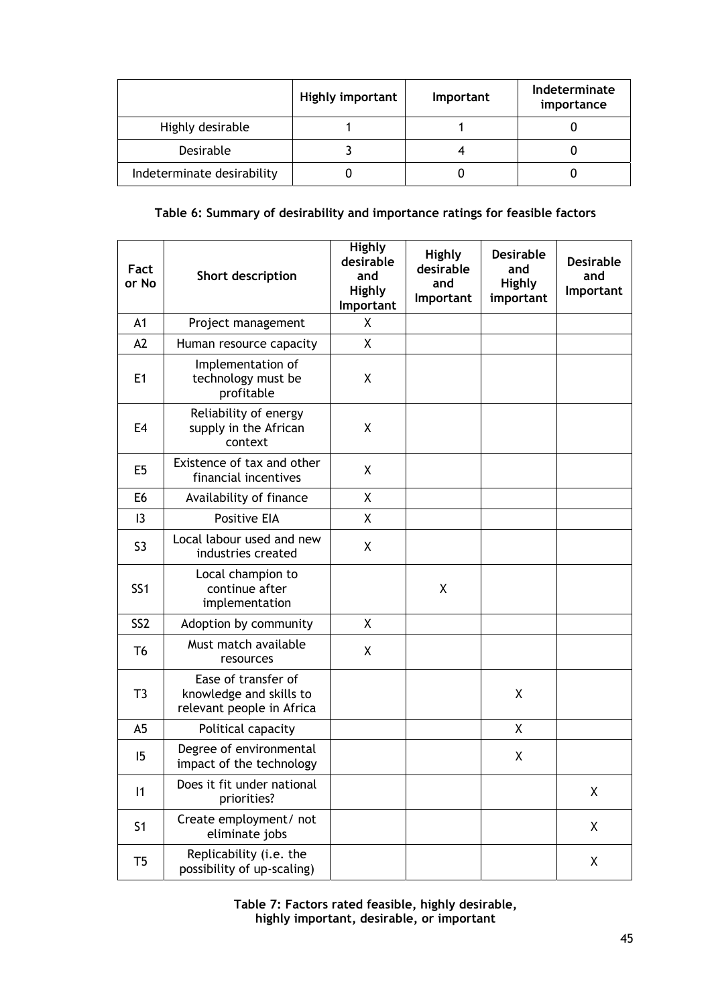|                            | <b>Highly important</b> | <b>Important</b> | Indeterminate<br>importance |
|----------------------------|-------------------------|------------------|-----------------------------|
| Highly desirable           |                         |                  |                             |
| Desirable                  |                         |                  |                             |
| Indeterminate desirability |                         |                  |                             |

# **Table 6: Summary of desirability and importance ratings for feasible factors**

| Fact<br>or No   | Short description                                                           | Highly<br>desirable<br>and<br>Highly<br>Important | Highly<br>desirable<br>and<br>Important | <b>Desirable</b><br>and<br>Highly<br>important | <b>Desirable</b><br>and<br>Important |
|-----------------|-----------------------------------------------------------------------------|---------------------------------------------------|-----------------------------------------|------------------------------------------------|--------------------------------------|
| A1              | Project management                                                          | X                                                 |                                         |                                                |                                      |
| A2              | Human resource capacity                                                     | X                                                 |                                         |                                                |                                      |
| E1              | Implementation of<br>technology must be<br>profitable                       | X                                                 |                                         |                                                |                                      |
| E4              | Reliability of energy<br>supply in the African<br>context                   | X                                                 |                                         |                                                |                                      |
| E <sub>5</sub>  | Existence of tax and other<br>financial incentives                          | X                                                 |                                         |                                                |                                      |
| E <sub>6</sub>  | Availability of finance                                                     | χ                                                 |                                         |                                                |                                      |
| 13              | <b>Positive EIA</b>                                                         | Χ                                                 |                                         |                                                |                                      |
| S <sub>3</sub>  | Local labour used and new<br>industries created                             | X                                                 |                                         |                                                |                                      |
| SS <sub>1</sub> | Local champion to<br>continue after<br>implementation                       |                                                   | X                                       |                                                |                                      |
| SS <sub>2</sub> | Adoption by community                                                       | X                                                 |                                         |                                                |                                      |
| T <sub>6</sub>  | Must match available<br>resources                                           | X                                                 |                                         |                                                |                                      |
| T3              | Ease of transfer of<br>knowledge and skills to<br>relevant people in Africa |                                                   |                                         | χ                                              |                                      |
| A5              | Political capacity                                                          |                                                   |                                         | X                                              |                                      |
| 15              | Degree of environmental<br>impact of the technology                         |                                                   |                                         | X                                              |                                      |
| 11              | Does it fit under national<br>priorities?                                   |                                                   |                                         |                                                | Χ                                    |
| S <sub>1</sub>  | Create employment/ not<br>eliminate jobs                                    |                                                   |                                         |                                                | X                                    |
| T5              | Replicability (i.e. the<br>possibility of up-scaling)                       |                                                   |                                         |                                                | X                                    |

**Table 7: Factors rated feasible, highly desirable, highly important, desirable, or important**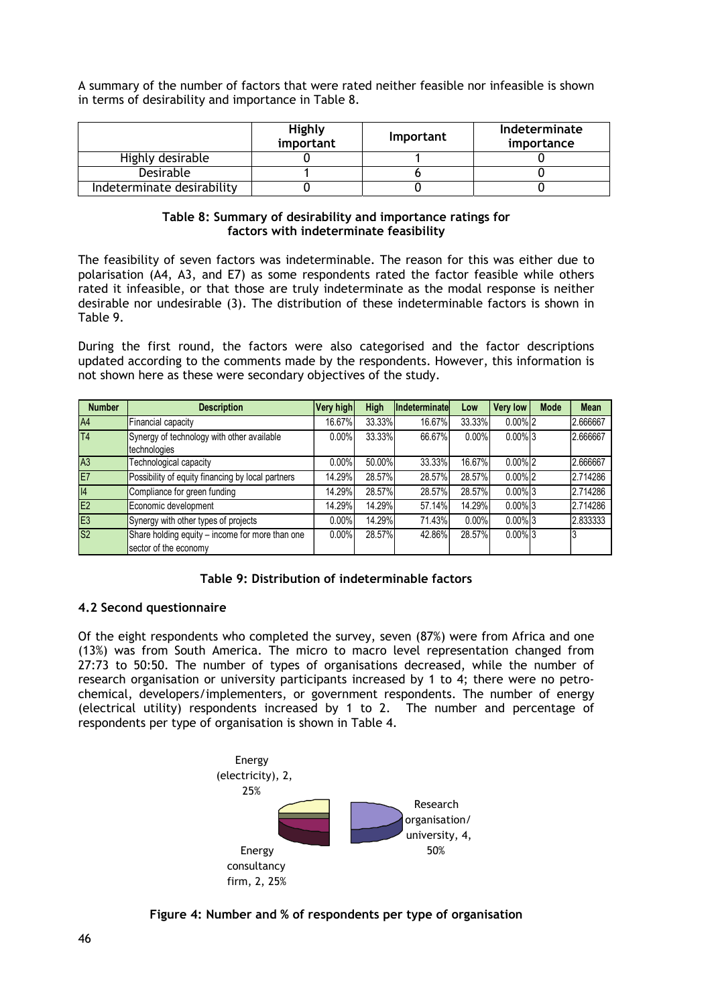A summary of the number of factors that were rated neither feasible nor infeasible is shown in terms of desirability and importance in Table 8.

|                            | Highly<br>important | <b>Important</b> | Indeterminate<br>importance |
|----------------------------|---------------------|------------------|-----------------------------|
| Highly desirable           |                     |                  |                             |
| Desirable                  |                     |                  |                             |
| Indeterminate desirability |                     |                  |                             |

### **Table 8: Summary of desirability and importance ratings for factors with indeterminate feasibility**

The feasibility of seven factors was indeterminable. The reason for this was either due to polarisation (A4, A3, and E7) as some respondents rated the factor feasible while others rated it infeasible, or that those are truly indeterminate as the modal response is neither desirable nor undesirable (3). The distribution of these indeterminable factors is shown in Table 9.

During the first round, the factors were also categorised and the factor descriptions updated according to the comments made by the respondents. However, this information is not shown here as these were secondary objectives of the study.

| <b>Number</b>  | <b>Description</b>                                                       | Very high | High   | Indeterminate | Low    | <b>Very low</b>       | Mode | <b>Mean</b> |
|----------------|--------------------------------------------------------------------------|-----------|--------|---------------|--------|-----------------------|------|-------------|
| A4             | Financial capacity                                                       | 16.67%    | 33.33% | 16.67%        | 33.33% | $0.00\%$ 2            |      | 2.666667    |
| T <sub>4</sub> | Synergy of technology with other available<br>technologies               | $0.00\%$  | 33.33% | 66.67%        | 0.00%  | $0.00\%$ 3            |      | 2.666667    |
| A3             | Technological capacity                                                   | 0.00%     | 50.00% | 33.33%        | 16.67% | $0.00\%$ 2            |      | 2.666667    |
| E7             | Possibility of equity financing by local partners                        | 14.29%    | 28.57% | 28.57%        | 28.57% | $0.00\%$ <sub>2</sub> |      | 2.714286    |
| 4              | Compliance for green funding                                             | 14.29%    | 28.57% | 28.57%        | 28.57% | $0.00\%$ 3            |      | 2.714286    |
| E2             | Economic development                                                     | 14.29%    | 14.29% | 57.14%        | 14.29% | $0.00\%$ 3            |      | 2.714286    |
| E <sub>3</sub> | Synergy with other types of projects                                     | $0.00\%$  | 14.29% | 71.43%        | 0.00%  | $0.00\%$ 3            |      | 2.833333    |
| S <sub>2</sub> | Share holding equity - income for more than one<br>sector of the economy | $0.00\%$  | 28.57% | 42.86%        | 28.57% | $0.00\%$ 3            |      |             |

### **4.2 Second questionnaire**

Of the eight respondents who completed the survey, seven (87%) were from Africa and one (13%) was from South America. The micro to macro level representation changed from 27:73 to 50:50. The number of types of organisations decreased, while the number of research organisation or university participants increased by 1 to 4; there were no petrochemical, developers/implementers, or government respondents. The number of energy (electrical utility) respondents increased by 1 to 2. The number and percentage of respondents per type of organisation is shown in Table 4.



**Figure 4: Number and % of respondents per type of organisation**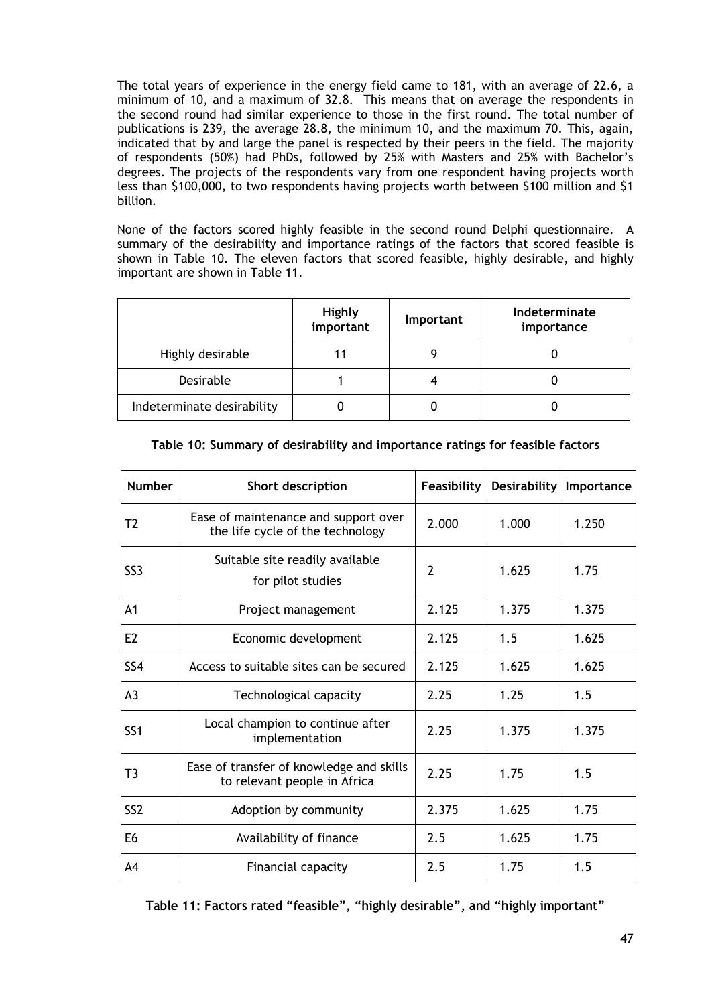The total years of experience in the energy field came to 181, with an average of 22.6, a minimum of 10, and a maximum of 32.8. This means that on average the respondents in the second round had similar experience to those in the first round. The total number of publications is 239, the average 28.8, the minimum 10, and the maximum 70. This, again, indicated that by and large the panel is respected by their peers in the field. The majority of respondents (50%) had PhDs, followed by 25% with Masters and 25% with Bachelor's degrees. The projects of the respondents vary from one respondent having projects worth less than \$100,000, to two respondents having projects worth between \$100 million and \$1 billion.

None of the factors scored highly feasible in the second round Delphi questionnaire. A summary of the desirability and importance ratings of the factors that scored feasible is shown in Table 10. The eleven factors that scored feasible, highly desirable, and highly important are shown in Table 11.

|                            | Highly<br>important | <b>Important</b> | Indeterminate<br>importance |
|----------------------------|---------------------|------------------|-----------------------------|
| Highly desirable           |                     |                  |                             |
| Desirable                  |                     |                  |                             |
| Indeterminate desirability |                     |                  |                             |

| <b>Number</b>   | Short description                                                        | Feasibility    |       | Desirability   Importance |
|-----------------|--------------------------------------------------------------------------|----------------|-------|---------------------------|
| T <sub>2</sub>  | Ease of maintenance and support over<br>the life cycle of the technology | 2.000          | 1.000 | 1.250                     |
| SS <sub>3</sub> | Suitable site readily available<br>for pilot studies                     | $\overline{2}$ | 1.625 | 1.75                      |
| A <sub>1</sub>  | Project management                                                       | 2.125          | 1.375 | 1.375                     |
| E <sub>2</sub>  | Economic development                                                     | 2.125          | 1.5   | 1.625                     |
| SS <sub>4</sub> | Access to suitable sites can be secured                                  | 2.125          | 1.625 | 1.625                     |
| A <sub>3</sub>  | Technological capacity                                                   | 2.25           | 1.25  | 1.5                       |
| SS <sub>1</sub> | Local champion to continue after<br>implementation                       | 2.25           | 1.375 | 1.375                     |
| T <sub>3</sub>  | Ease of transfer of knowledge and skills<br>to relevant people in Africa | 2.25           | 1.75  | 1.5                       |
| SS <sub>2</sub> | Adoption by community                                                    | 2.375          | 1.625 | 1.75                      |
| E <sub>6</sub>  | Availability of finance                                                  | 2.5            | 1.625 | 1.75                      |
| A4              | Financial capacity                                                       | 2.5            | 1.75  | 1.5                       |

**Table 10: Summary of desirability and importance ratings for feasible factors** 

**Table 11: Factors rated "feasible", "highly desirable", and "highly important"**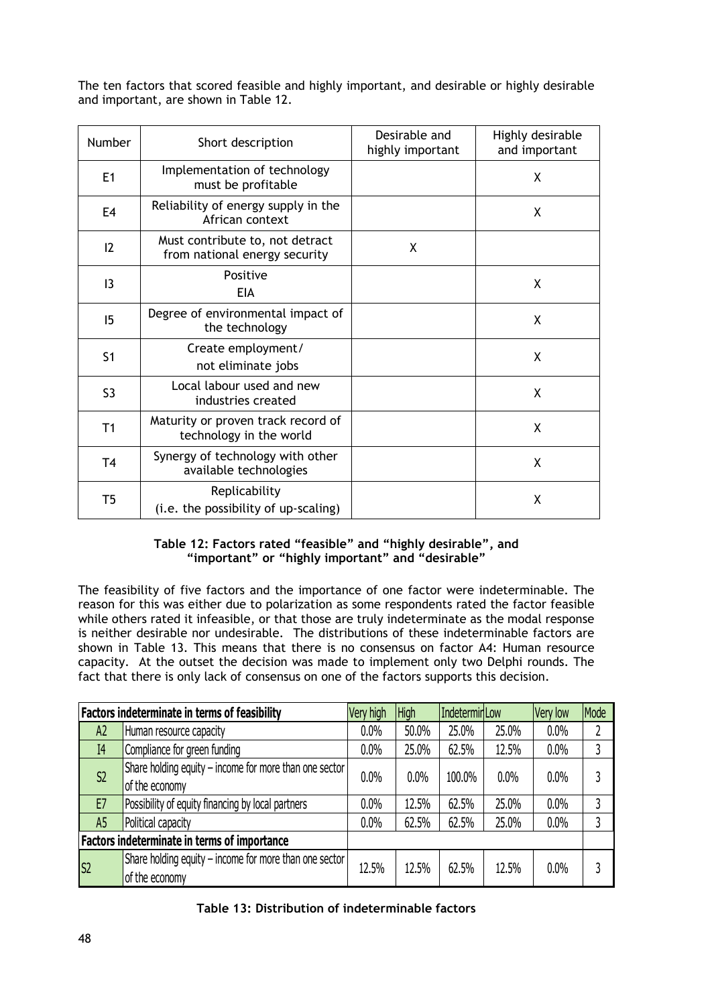The ten factors that scored feasible and highly important, and desirable or highly desirable and important, are shown in Table 12.

| <b>Number</b>  | Short description                                                | Desirable and<br>highly important | Highly desirable<br>and important |
|----------------|------------------------------------------------------------------|-----------------------------------|-----------------------------------|
| E1             | Implementation of technology<br>must be profitable               |                                   | X                                 |
| E <sub>4</sub> | Reliability of energy supply in the<br>African context           |                                   | X                                 |
| 12             | Must contribute to, not detract<br>from national energy security | X                                 |                                   |
| 13             | Positive<br><b>EIA</b>                                           |                                   | X                                 |
| 15             | Degree of environmental impact of<br>the technology              |                                   | X                                 |
| S <sub>1</sub> | Create employment/<br>not eliminate jobs                         |                                   | X                                 |
| S <sub>3</sub> | Local labour used and new<br>industries created                  |                                   | X                                 |
| T1             | Maturity or proven track record of<br>technology in the world    |                                   | X                                 |
| <b>T4</b>      | Synergy of technology with other<br>available technologies       |                                   | X                                 |
| T5             | Replicability<br>(i.e. the possibility of up-scaling)            |                                   | X                                 |

# **Table 12: Factors rated "feasible" and "highly desirable", and "important" or "highly important" and "desirable"**

The feasibility of five factors and the importance of one factor were indeterminable. The reason for this was either due to polarization as some respondents rated the factor feasible while others rated it infeasible, or that those are truly indeterminate as the modal response is neither desirable nor undesirable. The distributions of these indeterminable factors are shown in Table 13. This means that there is no consensus on factor A4: Human resource capacity. At the outset the decision was made to implement only two Delphi rounds. The fact that there is only lack of consensus on one of the factors supports this decision.

| Factors indeterminate in terms of feasibility |                                                                          | Very high | <b>High</b> | Indetermin Low |       | Very low | Mode |
|-----------------------------------------------|--------------------------------------------------------------------------|-----------|-------------|----------------|-------|----------|------|
| A <sup>2</sup>                                | Human resource capacity                                                  | $0.0\%$   | 50.0%       | 25.0%          | 25.0% | 0.0%     |      |
| I <sub>4</sub>                                | Compliance for green funding                                             | 0.0%      | 25.0%       | 62.5%          | 12.5% | 0.0%     | 3    |
| S <sub>2</sub>                                | Share holding equity - income for more than one sector<br>of the economy | 0.0%      | $0.0\%$     | 100.0%         | 0.0%  | $0.0\%$  |      |
| E7                                            | Possibility of equity financing by local partners                        | 0.0%      | 12.5%       | 62.5%          | 25.0% | 0.0%     | 3    |
| A <sub>5</sub>                                | Political capacity                                                       | 0.0%      | 62.5%       | 62.5%          | 25.0% | $0.0\%$  | 3    |
| Factors indeterminate in terms of importance  |                                                                          |           |             |                |       |          |      |
| S2                                            | Share holding equity - income for more than one sector<br>of the economy | 12.5%     | 12.5%       | 62.5%          | 12.5% | $0.0\%$  |      |

| Table 13: Distribution of indeterminable factors |  |  |  |
|--------------------------------------------------|--|--|--|
|--------------------------------------------------|--|--|--|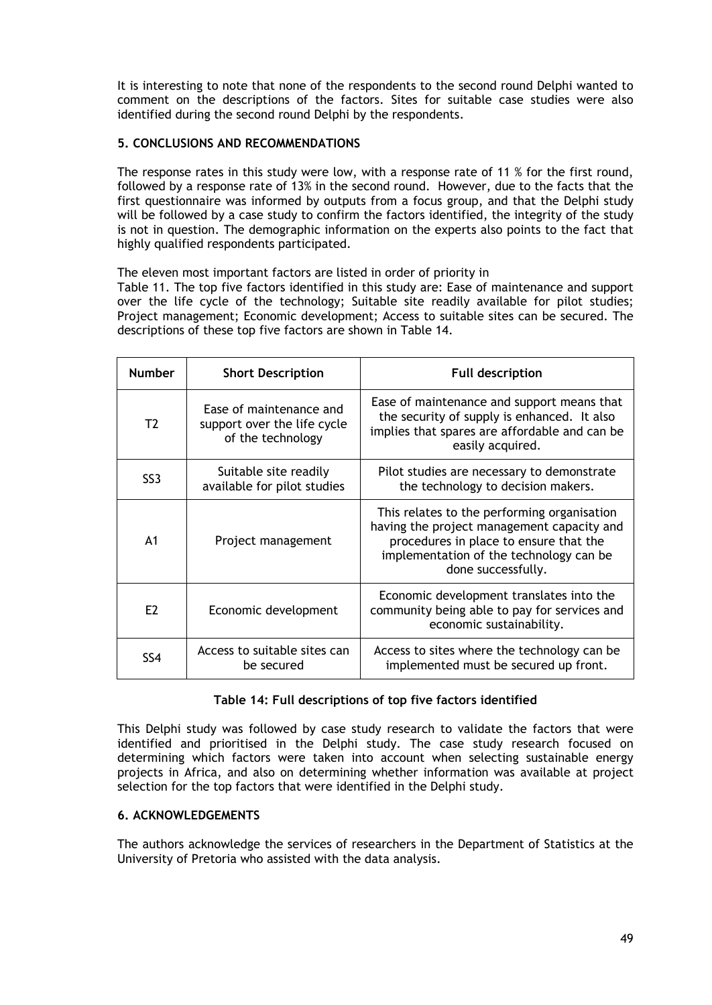It is interesting to note that none of the respondents to the second round Delphi wanted to comment on the descriptions of the factors. Sites for suitable case studies were also identified during the second round Delphi by the respondents.

# **5. CONCLUSIONS AND RECOMMENDATIONS**

The response rates in this study were low, with a response rate of 11 % for the first round, followed by a response rate of 13% in the second round. However, due to the facts that the first questionnaire was informed by outputs from a focus group, and that the Delphi study will be followed by a case study to confirm the factors identified, the integrity of the study is not in question. The demographic information on the experts also points to the fact that highly qualified respondents participated.

The eleven most important factors are listed in order of priority in

Table 11. The top five factors identified in this study are: Ease of maintenance and support over the life cycle of the technology; Suitable site readily available for pilot studies; Project management; Economic development; Access to suitable sites can be secured. The descriptions of these top five factors are shown in Table 14.

| <b>Number</b>   | <b>Short Description</b>                                                    | <b>Full description</b>                                                                                                                                                                              |
|-----------------|-----------------------------------------------------------------------------|------------------------------------------------------------------------------------------------------------------------------------------------------------------------------------------------------|
| T2              | Ease of maintenance and<br>support over the life cycle<br>of the technology | Ease of maintenance and support means that<br>the security of supply is enhanced. It also<br>implies that spares are affordable and can be<br>easily acquired.                                       |
| SS <sub>3</sub> | Suitable site readily<br>available for pilot studies                        | Pilot studies are necessary to demonstrate<br>the technology to decision makers.                                                                                                                     |
| A <sub>1</sub>  | Project management                                                          | This relates to the performing organisation<br>having the project management capacity and<br>procedures in place to ensure that the<br>implementation of the technology can be<br>done successfully. |
| E2              | Economic development                                                        | Economic development translates into the<br>community being able to pay for services and<br>economic sustainability.                                                                                 |
| SS4             | Access to suitable sites can<br>be secured                                  | Access to sites where the technology can be<br>implemented must be secured up front.                                                                                                                 |

### **Table 14: Full descriptions of top five factors identified**

This Delphi study was followed by case study research to validate the factors that were identified and prioritised in the Delphi study. The case study research focused on determining which factors were taken into account when selecting sustainable energy projects in Africa, and also on determining whether information was available at project selection for the top factors that were identified in the Delphi study.

### **6. ACKNOWLEDGEMENTS**

The authors acknowledge the services of researchers in the Department of Statistics at the University of Pretoria who assisted with the data analysis.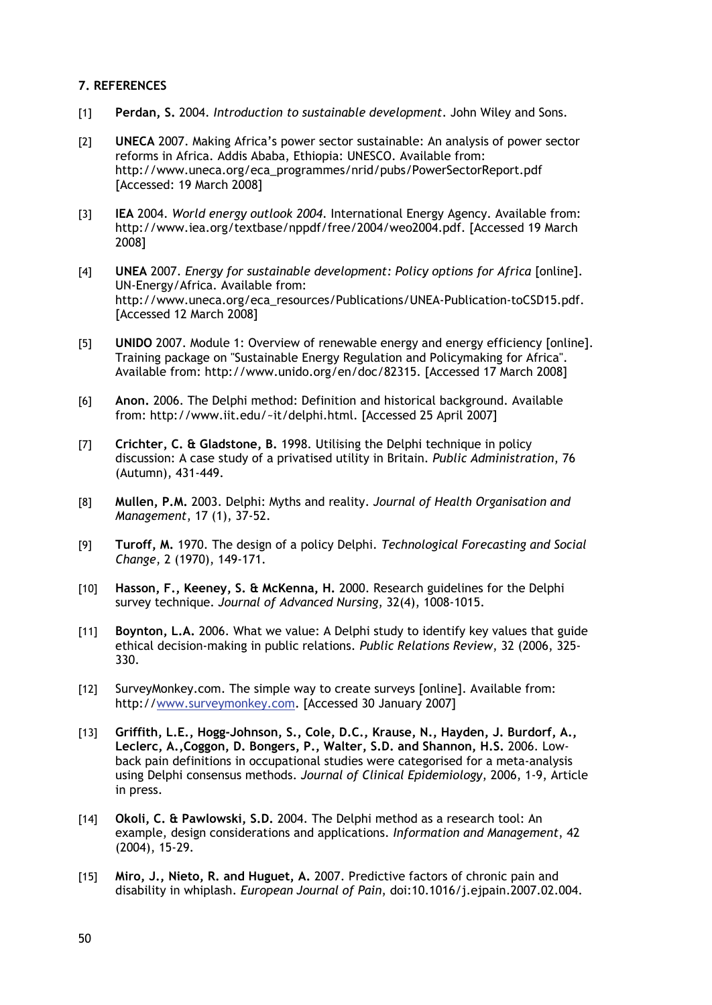### **7. REFERENCES**

- [1] **Perdan, S.** 2004. *Introduction to sustainable development*. John Wiley and Sons.
- [2] **UNECA** 2007. Making Africa's power sector sustainable: An analysis of power sector reforms in Africa. Addis Ababa, Ethiopia: UNESCO. Available from: http://www.uneca.org/eca\_programmes/nrid/pubs/PowerSectorReport.pdf [Accessed: 19 March 2008]
- [3] **IEA** 2004. *World energy outlook 2004*. International Energy Agency. Available from: http://www.iea.org/textbase/nppdf/free/2004/weo2004.pdf. [Accessed 19 March 2008]
- [4] **UNEA** 2007. *Energy for sustainable development: Policy options for Africa* [online]. UN-Energy/Africa. Available from: http://www.uneca.org/eca\_resources/Publications/UNEA-Publication-toCSD15.pdf. [Accessed 12 March 2008]
- [5] **UNIDO** 2007. Module 1: Overview of renewable energy and energy efficiency [online]. Training package on "Sustainable Energy Regulation and Policymaking for Africa". Available from: http://www.unido.org/en/doc/82315. [Accessed 17 March 2008]
- [6] **Anon.** 2006. The Delphi method: Definition and historical background. Available from: http://www.iit.edu/~it/delphi.html. [Accessed 25 April 2007]
- [7] **Crichter, C. & Gladstone, B.** 1998. Utilising the Delphi technique in policy discussion: A case study of a privatised utility in Britain. *Public Administration*, 76 (Autumn), 431-449.
- [8] **Mullen, P.M.** 2003. Delphi: Myths and reality. *Journal of Health Organisation and Management*, 17 (1), 37-52.
- [9] **Turoff, M.** 1970. The design of a policy Delphi. *Technological Forecasting and Social Change*, 2 (1970), 149-171.
- [10] **Hasson, F., Keeney, S. & McKenna, H.** 2000. Research guidelines for the Delphi survey technique. *Journal of Advanced Nursing*, 32(4), 1008-1015.
- [11] **Boynton, L.A.** 2006. What we value: A Delphi study to identify key values that guide ethical decision-making in public relations. *Public Relations Review*, 32 (2006, 325- 330.
- [12] SurveyMonkey.com. The simple way to create surveys [online]. Available from: http://www.surveymonkey.com. [Accessed 30 January 2007]
- [13] **Griffith, L.E., Hogg-Johnson, S., Cole, D.C., Krause, N., Hayden, J. Burdorf, A., Leclerc, A.,Coggon, D. Bongers, P., Walter, S.D. and Shannon, H.S.** 2006. Lowback pain definitions in occupational studies were categorised for a meta-analysis using Delphi consensus methods. *Journal of Clinical Epidemiology*, 2006, 1-9, Article in press.
- [14] **Okoli, C. & Pawlowski, S.D.** 2004. The Delphi method as a research tool: An example, design considerations and applications. *Information and Management*, 42 (2004), 15-29.
- [15] **Miro, J., Nieto, R. and Huguet, A.** 2007. Predictive factors of chronic pain and disability in whiplash. *European Journal of Pain*, doi:10.1016/j.ejpain.2007.02.004.